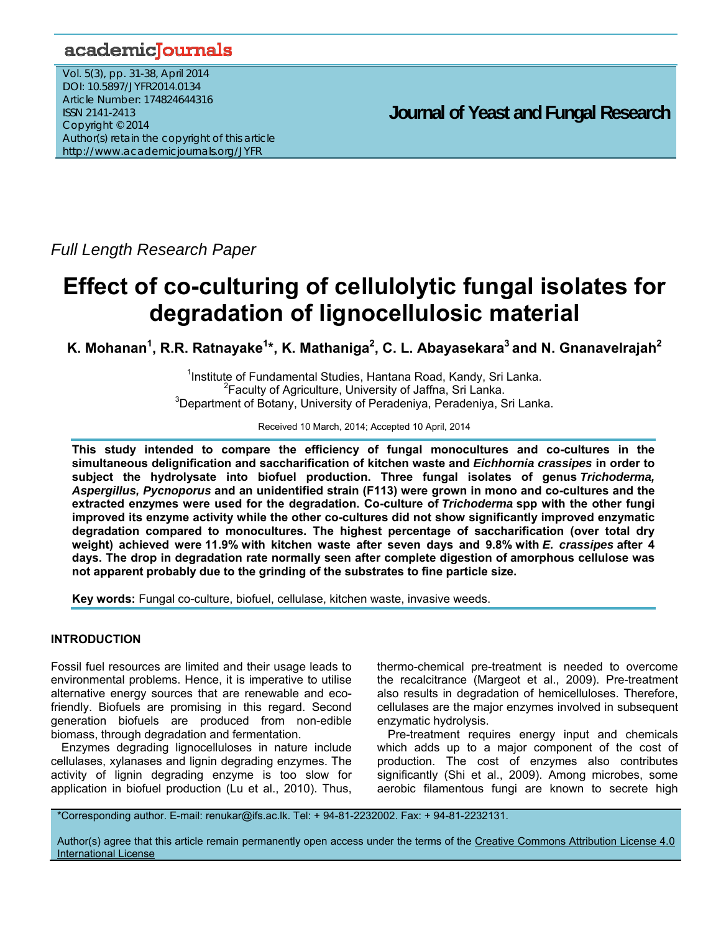## academicJournals

Vol. 5(3), pp. 31-38, April 2014 DOI: 10.5897/JYFR2014.0134 Article Number: 174824644316 ISSN 2141-2413 Copyright © 2014 Author(s) retain the copyright of this article http://www.academicjournals.org/JYFR

*Full Length Research Paper* 

# **Effect of co-culturing of cellulolytic fungal isolates for degradation of lignocellulosic material**

K. Mohanan<sup>1</sup>, R.R. Ratnayake<sup>1</sup>\*, K. Mathaniga<sup>2</sup>, C. L. Abayasekara<sup>3</sup> and N. Gnanavelrajah<sup>2</sup>

<sup>1</sup> Institute of Fundamental Studies, Hantana Road, Kandy, Sri Lanka. <sup>2</sup> Faculty of Agriculture, University of Jaffna, Sri Lanka.  ${}^{3}$ Department of Botany, University of Peradeniya, Peradeniya, Sri Lanka.

Received 10 March, 2014; Accepted 10 April, 2014

**This study intended to compare the efficiency of fungal monocultures and co-cultures in the simultaneous delignification and saccharification of kitchen waste and** *Eichhornia crassipes* **in order to subject the hydrolysate into biofuel production. Three fungal isolates of genus** *Trichoderma, Aspergillus, Pycnoporus* **and an unidentified strain (F113) were grown in mono and co-cultures and the extracted enzymes were used for the degradation. Co-culture of** *Trichoderma* **spp with the other fungi improved its enzyme activity while the other co-cultures did not show significantly improved enzymatic degradation compared to monocultures. The highest percentage of saccharification (over total dry weight) achieved were 11.9% with kitchen waste after seven days and 9.8% with** *E. crassipes* **after 4 days. The drop in degradation rate normally seen after complete digestion of amorphous cellulose was not apparent probably due to the grinding of the substrates to fine particle size.** 

**Key words:** Fungal co-culture, biofuel, cellulase, kitchen waste, invasive weeds.

## **INTRODUCTION**

Fossil fuel resources are limited and their usage leads to environmental problems. Hence, it is imperative to utilise alternative energy sources that are renewable and ecofriendly. Biofuels are promising in this regard. Second generation biofuels are produced from non-edible biomass, through degradation and fermentation.

Enzymes degrading lignocelluloses in nature include cellulases, xylanases and lignin degrading enzymes. The activity of lignin degrading enzyme is too slow for application in biofuel production (Lu et al., 2010). Thus, thermo-chemical pre-treatment is needed to overcome the recalcitrance (Margeot et al., 2009). Pre-treatment also results in degradation of hemicelluloses. Therefore, cellulases are the major enzymes involved in subsequent enzymatic hydrolysis.

Pre-treatment requires energy input and chemicals which adds up to a major component of the cost of production. The cost of enzymes also contributes significantly (Shi et al., 2009). Among microbes, some aerobic filamentous fungi are known to secrete high

\*Corresponding author. E-mail: renukar@ifs.ac.lk. Tel: + 94-81-2232002. Fax: + 94-81-2232131.

Author(s) agree that this article remain permanently open access under the terms of the Creative Commons Attribution License 4.0 International License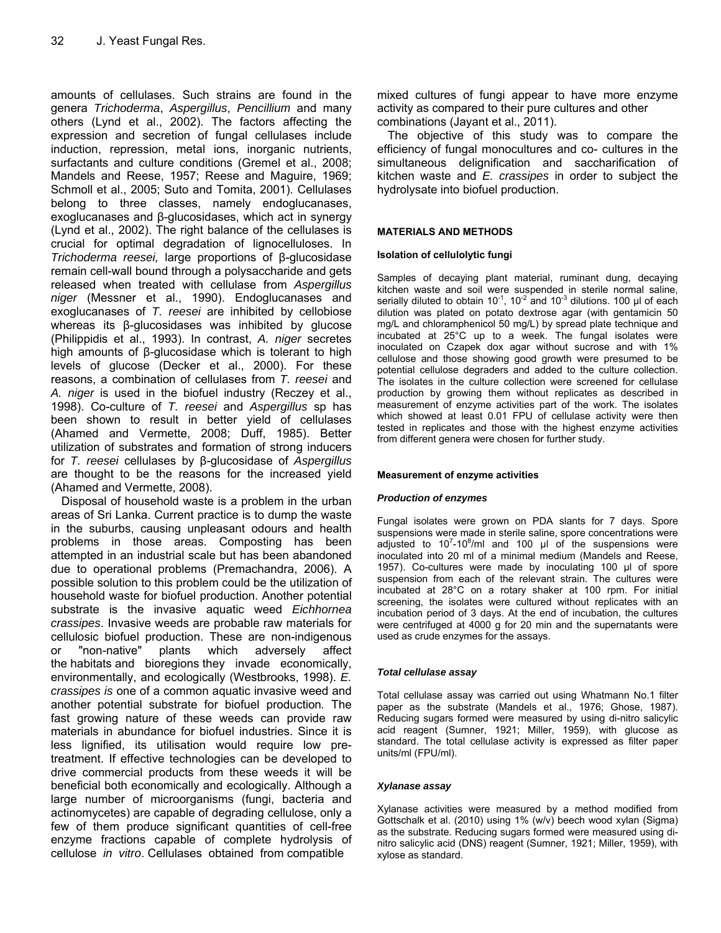amounts of cellulases. Such strains are found in the genera *Trichoderma*, *Aspergillus*, *Pencillium* and many others (Lynd et al., 2002). The factors affecting the expression and secretion of fungal cellulases include induction, repression, metal ions, inorganic nutrients, surfactants and culture conditions (Gremel et al., 2008; Mandels and Reese, 1957; Reese and Maguire, 1969; Schmoll et al., 2005; Suto and Tomita, 2001). Cellulases belong to three classes, namely endoglucanases, exoglucanases and β-glucosidases, which act in synergy (Lynd et al., 2002). The right balance of the cellulases is crucial for optimal degradation of lignocelluloses. In *Trichoderma reesei,* large proportions of β-glucosidase remain cell-wall bound through a polysaccharide and gets released when treated with cellulase from *Aspergillus niger* (Messner et al., 1990). Endoglucanases and exoglucanases of *T. reesei* are inhibited by cellobiose whereas its β-glucosidases was inhibited by glucose (Philippidis et al., 1993). In contrast, *A. niger* secretes high amounts of β-glucosidase which is tolerant to high levels of glucose (Decker et al., 2000). For these reasons, a combination of cellulases from *T. reesei* and *A. niger* is used in the biofuel industry (Reczey et al., 1998). Co-culture of *T. reesei* and *Aspergillus* sp has been shown to result in better yield of cellulases (Ahamed and Vermette, 2008; Duff, 1985). Better utilization of substrates and formation of strong inducers for *T. reesei* cellulases by β-glucosidase of *Aspergillus* are thought to be the reasons for the increased yield (Ahamed and Vermette, 2008).

Disposal of household waste is a problem in the urban areas of Sri Lanka. Current practice is to dump the waste in the suburbs, causing unpleasant odours and health problems in those areas. Composting has been attempted in an industrial scale but has been abandoned due to operational problems (Premachandra, 2006). A possible solution to this problem could be the utilization of household waste for biofuel production. Another potential substrate is the invasive aquatic weed *Eichhornea crassipes*. Invasive weeds are probable raw materials for cellulosic biofuel production. These are non-indigenous or "non-native" plants which adversely affect the habitats and bioregions they invade economically, environmentally, and ecologically (Westbrooks, 1998). *E. crassipes is* one of a common aquatic invasive weed and another potential substrate for biofuel production*.* The fast growing nature of these weeds can provide raw materials in abundance for biofuel industries. Since it is less lignified, its utilisation would require low pretreatment. If effective technologies can be developed to drive commercial products from these weeds it will be beneficial both economically and ecologically. Although a large number of microorganisms (fungi, bacteria and actinomycetes) are capable of degrading cellulose, only a few of them produce significant quantities of cell-free enzyme fractions capable of complete hydrolysis of cellulose *in vitro*. Cellulases obtained from compatible

mixed cultures of fungi appear to have more enzyme activity as compared to their pure cultures and other combinations (Jayant et al., 2011).

The objective of this study was to compare the efficiency of fungal monocultures and co- cultures in the simultaneous delignification and saccharification of kitchen waste and *E. crassipes* in order to subject the hydrolysate into biofuel production.

## **MATERIALS AND METHODS**

## **Isolation of cellulolytic fungi**

Samples of decaying plant material, ruminant dung, decaying kitchen waste and soil were suspended in sterile normal saline, serially diluted to obtain  $10^{-1}$ ,  $10^{-2}$  and  $10^{-3}$  dilutions. 100 μl of each dilution was plated on potato dextrose agar (with gentamicin 50 mg/L and chloramphenicol 50 mg/L) by spread plate technique and incubated at 25°C up to a week. The fungal isolates were inoculated on Czapek dox agar without sucrose and with 1% cellulose and those showing good growth were presumed to be potential cellulose degraders and added to the culture collection. The isolates in the culture collection were screened for cellulase production by growing them without replicates as described in measurement of enzyme activities part of the work. The isolates which showed at least 0.01 FPU of cellulase activity were then tested in replicates and those with the highest enzyme activities from different genera were chosen for further study.

#### **Measurement of enzyme activities**

#### *Production of enzymes*

Fungal isolates were grown on PDA slants for 7 days. Spore suspensions were made in sterile saline, spore concentrations were adjusted to  $10^{7}$ -10<sup>8</sup>/ml and 100  $\mu$ l of the suspensions were inoculated into 20 ml of a minimal medium (Mandels and Reese, 1957). Co-cultures were made by inoculating 100 μl of spore suspension from each of the relevant strain. The cultures were incubated at 28°C on a rotary shaker at 100 rpm. For initial screening, the isolates were cultured without replicates with an incubation period of 3 days. At the end of incubation, the cultures were centrifuged at 4000 g for 20 min and the supernatants were used as crude enzymes for the assays.

#### *Total cellulase assay*

Total cellulase assay was carried out using Whatmann No.1 filter paper as the substrate (Mandels et al., 1976; Ghose, 1987). Reducing sugars formed were measured by using di-nitro salicylic acid reagent (Sumner, 1921; Miller, 1959), with glucose as standard. The total cellulase activity is expressed as filter paper units/ml (FPU/ml).

#### *Xylanase assay*

Xylanase activities were measured by a method modified from Gottschalk et al. (2010) using 1% (w/v) beech wood xylan (Sigma) as the substrate. Reducing sugars formed were measured using dinitro salicylic acid (DNS) reagent (Sumner, 1921; Miller, 1959), with xylose as standard.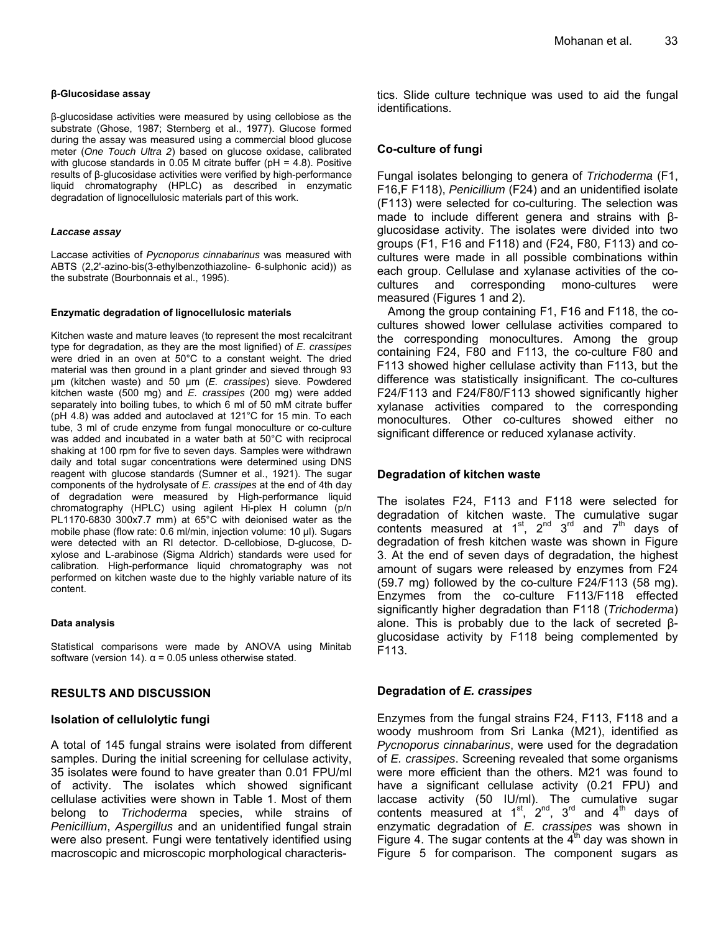β-glucosidase activities were measured by using cellobiose as the substrate (Ghose, 1987; Sternberg et al., 1977). Glucose formed during the assay was measured using a commercial blood glucose meter (*One Touch Ultra 2*) based on glucose oxidase, calibrated with glucose standards in 0.05 M citrate buffer ( $pH = 4.8$ ). Positive results of β-glucosidase activities were verified by high-performance liquid chromatography (HPLC) as described in enzymatic degradation of lignocellulosic materials part of this work.

#### *Laccase assay*

Laccase activities of *Pycnoporus cinnabarinus* was measured with ABTS (2,2'-azino-bis(3-ethylbenzothiazoline- 6-sulphonic acid)) as the substrate (Bourbonnais et al., 1995).

#### **Enzymatic degradation of lignocellulosic materials**

Kitchen waste and mature leaves (to represent the most recalcitrant type for degradation, as they are the most lignified) of *E. crassipes* were dried in an oven at 50°C to a constant weight. The dried material was then ground in a plant grinder and sieved through 93 μm (kitchen waste) and 50 μm (*E. crassipes*) sieve. Powdered kitchen waste (500 mg) and *E. crassipes* (200 mg) were added separately into boiling tubes, to which 6 ml of 50 mM citrate buffer (pH 4.8) was added and autoclaved at 121°C for 15 min. To each tube, 3 ml of crude enzyme from fungal monoculture or co-culture was added and incubated in a water bath at 50°C with reciprocal shaking at 100 rpm for five to seven days. Samples were withdrawn daily and total sugar concentrations were determined using DNS reagent with glucose standards (Sumner et al., 1921). The sugar components of the hydrolysate of *E. crassipes* at the end of 4th day of degradation were measured by High-performance liquid chromatography (HPLC) using agilent Hi-plex H column (p/n PL1170-6830 300x7.7 mm) at 65°C with deionised water as the mobile phase (flow rate: 0.6 ml/min, injection volume: 10 μl). Sugars were detected with an RI detector. D-cellobiose, D-glucose, Dxylose and L-arabinose (Sigma Aldrich) standards were used for calibration. High-performance liquid chromatography was not performed on kitchen waste due to the highly variable nature of its content.

#### **Data analysis**

Statistical comparisons were made by ANOVA using Minitab software (version 14).  $\alpha$  = 0.05 unless otherwise stated.

## **RESULTS AND DISCUSSION**

## **Isolation of cellulolytic fungi**

A total of 145 fungal strains were isolated from different samples. During the initial screening for cellulase activity, 35 isolates were found to have greater than 0.01 FPU/ml of activity. The isolates which showed significant cellulase activities were shown in Table 1. Most of them belong to *Trichoderma* species, while strains of *Penicillium*, *Aspergillus* and an unidentified fungal strain were also present. Fungi were tentatively identified using macroscopic and microscopic morphological characteristics. Slide culture technique was used to aid the fungal identifications.

## **Co-culture of fungi**

Fungal isolates belonging to genera of *Trichoderma* (F1, F16,F F118), *Penicillium* (F24) and an unidentified isolate (F113) were selected for co-culturing. The selection was made to include different genera and strains with βglucosidase activity. The isolates were divided into two groups (F1, F16 and F118) and (F24, F80, F113) and cocultures were made in all possible combinations within each group. Cellulase and xylanase activities of the cocultures and corresponding mono-cultures were measured (Figures 1 and 2).

Among the group containing F1, F16 and F118, the cocultures showed lower cellulase activities compared to the corresponding monocultures. Among the group containing F24, F80 and F113, the co-culture F80 and F113 showed higher cellulase activity than F113, but the difference was statistically insignificant. The co-cultures F24/F113 and F24/F80/F113 showed significantly higher xylanase activities compared to the corresponding monocultures. Other co-cultures showed either no significant difference or reduced xylanase activity.

## **Degradation of kitchen waste**

The isolates F24, F113 and F118 were selected for degradation of kitchen waste. The cumulative sugar contents measured at  $1^{st}$ ,  $2^{nd}$   $3^{rd}$  and  $7^{th}$  days of degradation of fresh kitchen waste was shown in Figure 3. At the end of seven days of degradation, the highest amount of sugars were released by enzymes from F24 (59.7 mg) followed by the co-culture F24/F113 (58 mg). Enzymes from the co-culture F113/F118 effected significantly higher degradation than F118 (*Trichoderma*) alone. This is probably due to the lack of secreted βglucosidase activity by F118 being complemented by F113.

## **Degradation of** *E. crassipes*

Enzymes from the fungal strains F24, F113, F118 and a woody mushroom from Sri Lanka (M21), identified as *Pycnoporus cinnabarinus*, were used for the degradation of *E. crassipes*. Screening revealed that some organisms were more efficient than the others. M21 was found to have a significant cellulase activity (0.21 FPU) and laccase activity (50 IU/ml). The cumulative sugar contents measured at  $1^{\text{st}}$ ,  $2^{\text{nd}}$ ,  $3^{\text{rd}}$  and  $4^{\text{th}}$  days of enzymatic degradation of *E. crassipes* was shown in Figure 4. The sugar contents at the  $4<sup>th</sup>$  day was shown in Figure 5 for comparison. The component sugars as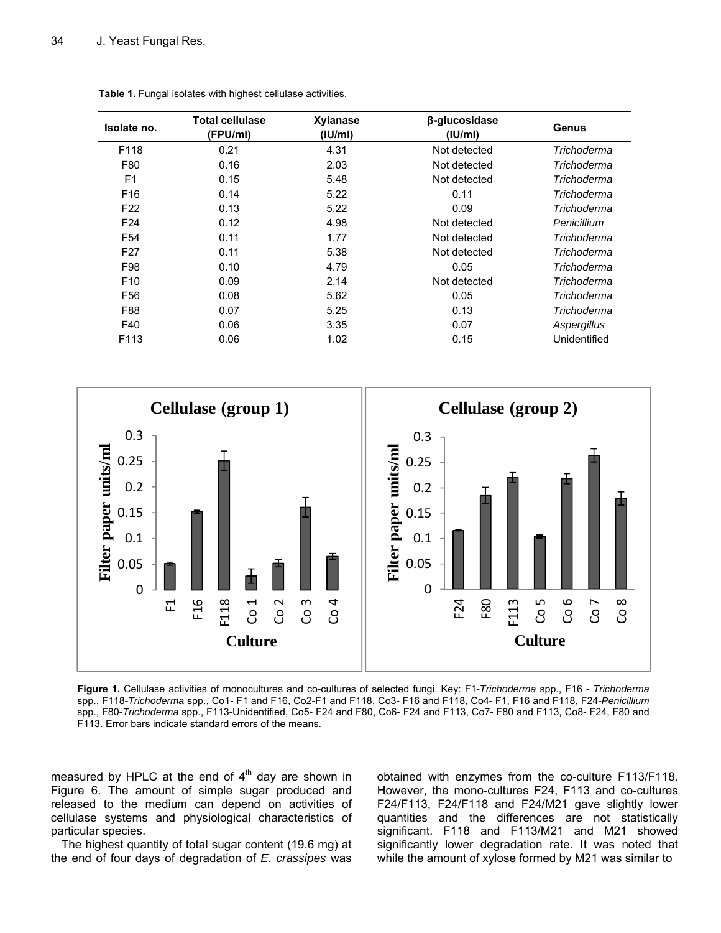| Isolate no.     | <b>Total cellulase</b><br>(FPU/ml) | Xylanase<br>(IU/ml) | β-glucosidase<br>$($ IU/ml $)$ | Genus        |
|-----------------|------------------------------------|---------------------|--------------------------------|--------------|
| F118            | 0.21                               | 4.31                | Not detected                   | Trichoderma  |
| F80             | 0.16                               | 2.03                | Not detected                   | Trichoderma  |
| F <sub>1</sub>  | 0.15                               | 5.48                | Not detected                   | Trichoderma  |
| F <sub>16</sub> | 0.14                               | 5.22                | 0.11                           | Trichoderma  |
| F <sub>22</sub> | 0.13                               | 5.22                | 0.09                           | Trichoderma  |
| F <sub>24</sub> | 0.12                               | 4.98                | Not detected                   | Penicillium  |
| F <sub>54</sub> | 0.11                               | 1.77                | Not detected                   | Trichoderma  |
| F <sub>27</sub> | 0.11                               | 5.38                | Not detected                   | Trichoderma  |
| F98             | 0.10                               | 4.79                | 0.05                           | Trichoderma  |
| F <sub>10</sub> | 0.09                               | 2.14                | Not detected                   | Trichoderma  |
| F56             | 0.08                               | 5.62                | 0.05                           | Trichoderma  |
| F88             | 0.07                               | 5.25                | 0.13                           | Trichoderma  |
| F40             | 0.06                               | 3.35                | 0.07                           | Aspergillus  |
| F113            | 0.06                               | 1.02                | 0.15                           | Unidentified |

**Table 1.** Fungal isolates with highest cellulase activities.



**Figure 1.** Cellulase activities of monocultures and co-cultures of selected fungi. Key: F1-*Trichoderma* spp., F16 - *Trichoderma*  spp., F118-*Trichoderma* spp., Co1- F1 and F16, Co2-F1 and F118, Co3- F16 and F118, Co4- F1, F16 and F118, F24-*Penicillium*  spp., F80-*Trichoderma* spp., F113-Unidentified, Co5- F24 and F80, Co6- F24 and F113, Co7- F80 and F113, Co8- F24, F80 and F113. Error bars indicate standard errors of the means.

measured by HPLC at the end of  $4<sup>th</sup>$  day are shown in Figure 6. The amount of simple sugar produced and released to the medium can depend on activities of cellulase systems and physiological characteristics of particular species.

The highest quantity of total sugar content (19.6 mg) at the end of four days of degradation of *E. crassipes* was

obtained with enzymes from the co-culture F113/F118. However, the mono-cultures F24, F113 and co-cultures F24/F113, F24/F118 and F24/M21 gave slightly lower quantities and the differences are not statistically significant. F118 and F113/M21 and M21 showed significantly lower degradation rate. It was noted that while the amount of xylose formed by M21 was similar to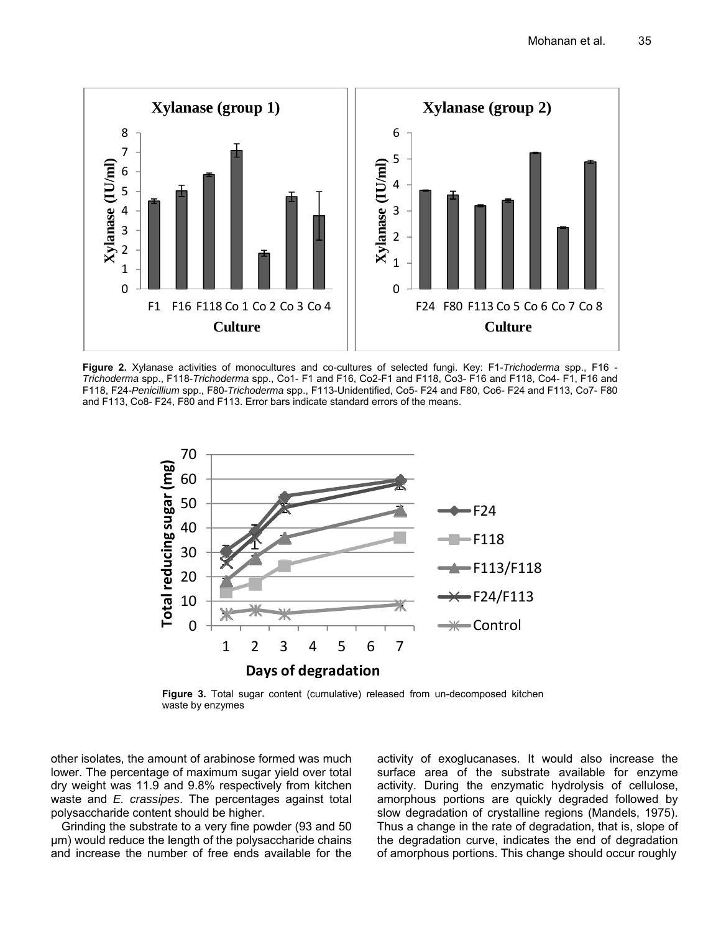

**Figure 2.** Xylanase activities of monocultures and co-cultures of selected fungi. Key: F1-*Trichoderma* spp., F16 - *Trichoderma* spp., F118-*Trichoderma* spp., Co1- F1 and F16, Co2-F1 and F118, Co3- F16 and F118, Co4- F1, F16 and F118, F24-*Penicillium* spp., F80-*Trichoderma* spp., F113-Unidentified, Co5- F24 and F80, Co6- F24 and F113, Co7- F80 and F113, Co8- F24, F80 and F113. Error bars indicate standard errors of the means.



**Figure 3.** Total sugar content (cumulative) released from un-decomposed kitchen waste by enzymes

other isolates, the amount of arabinose formed was much lower. The percentage of maximum sugar yield over total dry weight was 11.9 and 9.8% respectively from kitchen waste and *E. crassipes*. The percentages against total polysaccharide content should be higher.

Grinding the substrate to a very fine powder (93 and 50 μm) would reduce the length of the polysaccharide chains and increase the number of free ends available for the

activity of exoglucanases. It would also increase the surface area of the substrate available for enzyme activity. During the enzymatic hydrolysis of cellulose, amorphous portions are quickly degraded followed by slow degradation of crystalline regions (Mandels, 1975). Thus a change in the rate of degradation, that is, slope of the degradation curve, indicates the end of degradation of amorphous portions. This change should occur roughly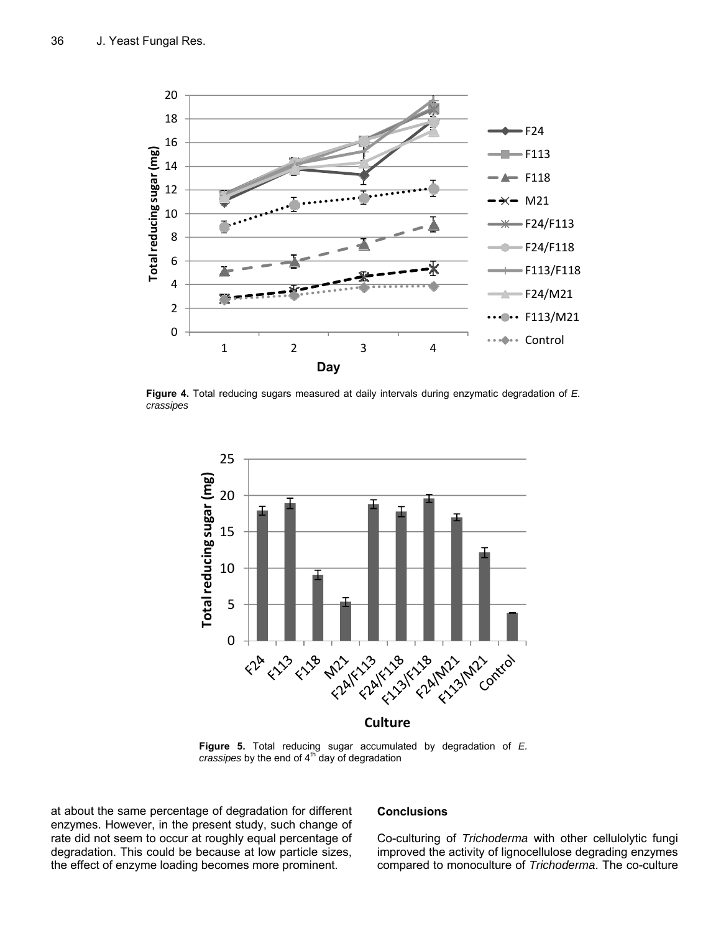

**Figure 4.** Total reducing sugars measured at daily intervals during enzymatic degradation of *E. crassipes* 



**Figure 5.** Total reducing sugar accumulated by degradation of *E. crassipes* by the end of 4<sup>th</sup> day of degradation

at about the same percentage of degradation for different enzymes. However, in the present study, such change of rate did not seem to occur at roughly equal percentage of degradation. This could be because at low particle sizes, the effect of enzyme loading becomes more prominent.

## **Conclusions**

Co-culturing of *Trichoderma* with other cellulolytic fungi improved the activity of lignocellulose degrading enzymes compared to monoculture of *Trichoderma*. The co-culture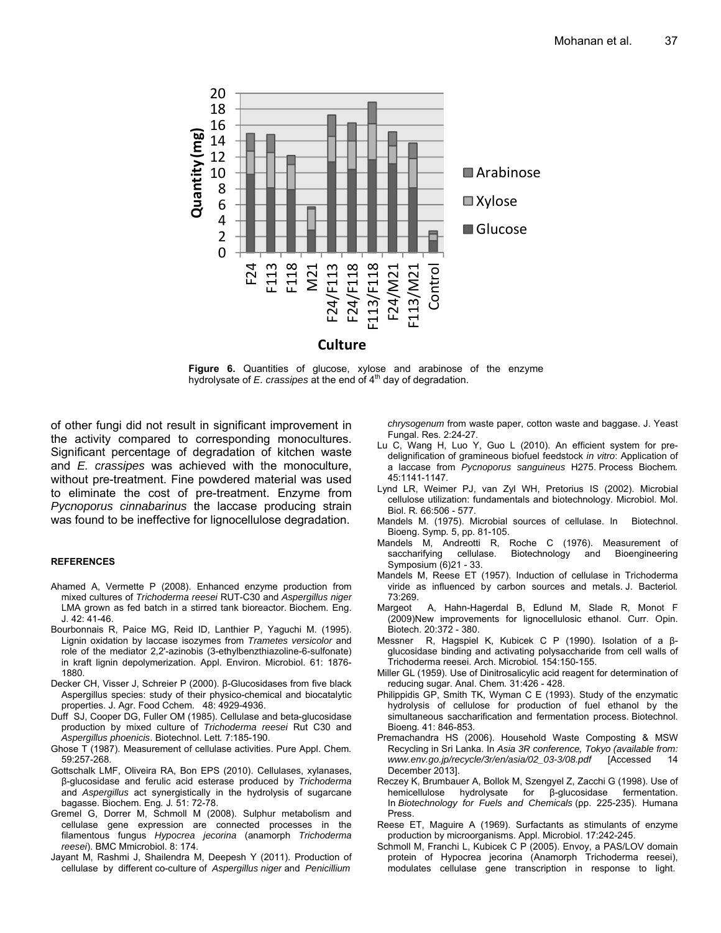

**Figure 6.** Quantities of glucose, xylose and arabinose of the enzyme hydrolysate of *E. crassipes* at the end of 4<sup>th</sup> day of degradation.

of other fungi did not result in significant improvement in the activity compared to corresponding monocultures. Significant percentage of degradation of kitchen waste and *E. crassipes* was achieved with the monoculture, without pre-treatment. Fine powdered material was used to eliminate the cost of pre-treatment. Enzyme from *Pycnoporus cinnabarinus* the laccase producing strain was found to be ineffective for lignocellulose degradation.

#### **REFERENCES**

- Ahamed A, Vermette P (2008). Enhanced enzyme production from mixed cultures of *Trichoderma reesei* RUT-C30 and *Aspergillus niger* LMA grown as fed batch in a stirred tank bioreactor. Biochem. Eng. J. 42: 41-46.
- Bourbonnais R, Paice MG, Reid ID, Lanthier P, Yaguchi M. (1995). Lignin oxidation by laccase isozymes from *Trametes versicolor* and role of the mediator 2,2'-azinobis (3-ethylbenzthiazoline-6-sulfonate) in kraft lignin depolymerization. Appl. Environ. Microbiol. 61: 1876- 1880.
- Decker CH, Visser J, Schreier P (2000). β-Glucosidases from five black Aspergillus species: study of their physico-chemical and biocatalytic properties. J. Agr. Food Cchem. 48: 4929-4936.
- Duff SJ, Cooper DG, Fuller OM (1985). Cellulase and beta-glucosidase production by mixed culture of *Trichoderma reesei* Rut C30 and *Aspergillus phoenicis*. Biotechnol. Lett*.* 7:185-190.
- Ghose T (1987). Measurement of cellulase activities. Pure Appl. Chem*.* 59:257-268.
- Gottschalk LMF, Oliveira RA, Bon EPS (2010). Cellulases, xylanases, β-glucosidase and ferulic acid esterase produced by *Trichoderma* and *Aspergillus* act synergistically in the hydrolysis of sugarcane bagasse. Biochem. Eng*.* J*.* 51: 72-78.
- Gremel G, Dorrer M, Schmoll M (2008). Sulphur metabolism and cellulase gene expression are connected processes in the filamentous fungus *Hypocrea jecorina* (anamorph *Trichoderma reesei*). BMC Mmicrobiol. 8: 174.
- Jayant M, Rashmi J, Shailendra M, Deepesh Y (2011). Production of cellulase by different co-culture of *Aspergillus niger* and *Penicillium*

*chrysogenum* from waste paper, cotton waste and baggase. J. Yeast Fungal. Res. 2:24-27.

- Lu C, Wang H, Luo Y, Guo L (2010). An efficient system for predelignification of gramineous biofuel feedstock *in vitro*: Application of a laccase from *Pycnoporus sanguineus* H275. Process Biochem*.*  45:1141-1147.
- Lynd LR, Weimer PJ, van Zyl WH, Pretorius IS (2002). Microbial cellulose utilization: fundamentals and biotechnology. Microbiol. Mol. Biol. R*.* 66:506 - 577.
- Mandels M. (1975). Microbial sources of cellulase. In Biotechnol. Bioeng. Symp*.* 5, pp. 81-105.
- Mandels M, Andreotti R, Roche C (1976). Measurement of cellulase. Biotechnology and Bioengineering Symposium (6)21 - 33.
- Mandels M, Reese ET (1957). Induction of cellulase in Trichoderma viride as influenced by carbon sources and metals. J. Bacteriol*.*  73:269.
- Margeot A, Hahn-Hagerdal B, Edlund M, Slade R, Monot F (2009)New improvements for lignocellulosic ethanol. Curr. Opin. Biotech. 20:372 - 380.
- Messner R, Hagspiel K, Kubicek C P (1990). Isolation of a βglucosidase binding and activating polysaccharide from cell walls of Trichoderma reesei. Arch. Microbiol*.* 154:150-155.
- Miller GL (1959). Use of Dinitrosalicylic acid reagent for determination of reducing sugar. Anal. Chem*.* 31:426 - 428.
- Philippidis GP, Smith TK, Wyman C E (1993). Study of the enzymatic hydrolysis of cellulose for production of fuel ethanol by the simultaneous saccharification and fermentation process. Biotechnol. Bioeng*.* 41: 846-853.
- Premachandra HS (2006). Household Waste Composting & MSW Recycling in Sri Lanka. In *Asia 3R conference, Tokyo (available from: www.env.go.jp/recycle/3r/en/asia/02\_03-3/08.pdf* [Accessed 14 December 2013].
- Reczey K, Brumbauer A, Bollok M, Szengyel Z, Zacchi G (1998). Use of hemicellulose hydrolysate for β-glucosidase fermentation. In *Biotechnology for Fuels and Chemicals* (pp. 225-235). Humana **Press**
- Reese ET, Maguire A (1969). Surfactants as stimulants of enzyme production by microorganisms. Appl. Microbiol. 17:242-245.
- Schmoll M, Franchi L, Kubicek C P (2005). Envoy, a PAS/LOV domain protein of Hypocrea jecorina (Anamorph Trichoderma reesei), modulates cellulase gene transcription in response to light.